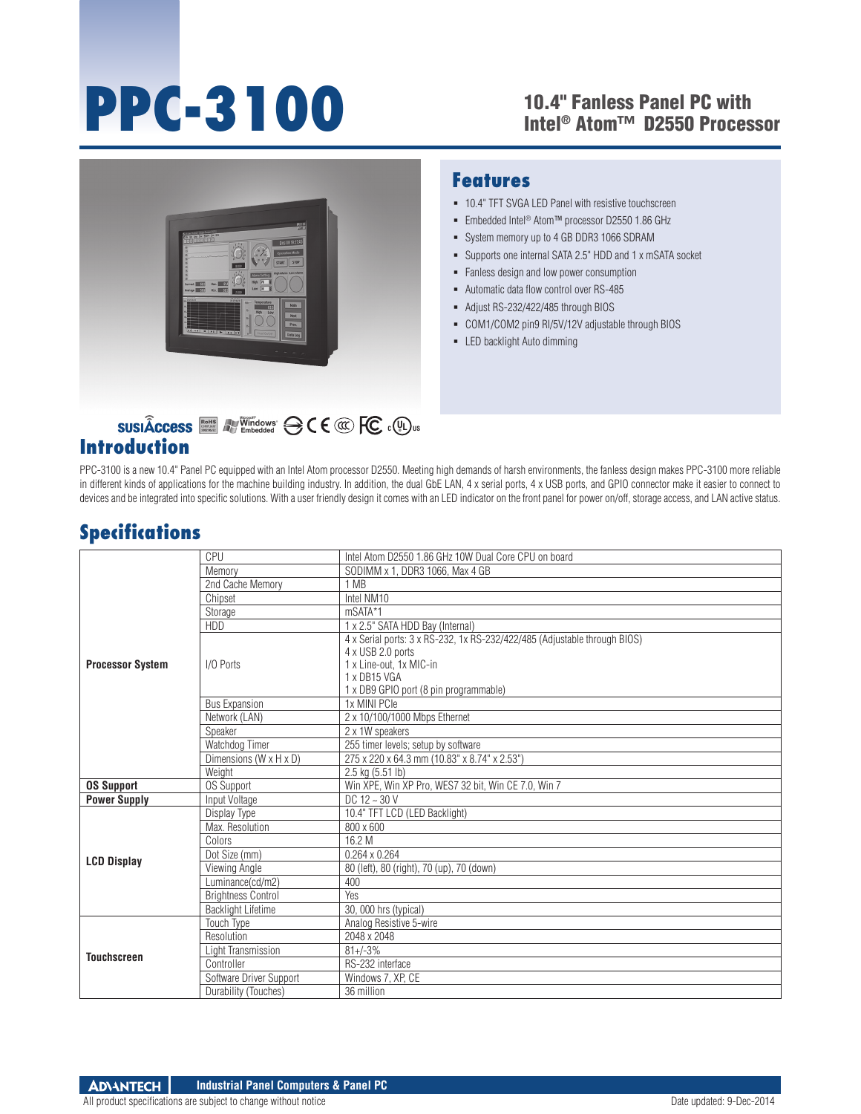# **PPC-3100**

#### 10.4" Fanless Panel PC with Intel® Atom™ D2550 Processor



#### **Features**

- 10.4" TFT SVGA LED Panel with resistive touchscreen
- Embedded Intel® Atom™ processor D2550 1.86 GHz
- System memory up to 4 GB DDR3 1066 SDRAM
- Supports one internal SATA 2.5" HDD and 1 x mSATA socket
- **Fanless design and low power consumption**
- Automatic data flow control over RS-485
- Adjust RS-232/422/485 through BIOS
- COM1/COM2 pin9 RI/5V/12V adjustable through BIOS
- LED backlight Auto dimming

# **Introduction**

PPC-3100 is a new 10.4" Panel PC equipped with an Intel Atom processor D2550. Meeting high demands of harsh environments, the fanless design makes PPC-3100 more reliable in different kinds of applications for the machine building industry. In addition, the dual GbE LAN, 4 x serial ports, 4 x USB ports, and GPIO connector make it easier to connect to devices and be integrated into specific solutions. With a user friendly design it comes with an LED indicator on the front panel for power on/off, storage access, and LAN active status.

### **Specifications**

|                         | CPU                       | Intel Atom D2550 1.86 GHz 10W Dual Core CPU on board                      |
|-------------------------|---------------------------|---------------------------------------------------------------------------|
|                         | Memory                    | SODIMM x 1. DDR3 1066. Max 4 GB                                           |
|                         | 2nd Cache Memory          | 1 MB                                                                      |
|                         | Chipset                   | Intel NM10                                                                |
|                         | Storage                   | mSATA*1                                                                   |
|                         | HDD                       | 1 x 2.5" SATA HDD Bay (Internal)                                          |
|                         |                           | 4 x Serial ports: 3 x RS-232, 1x RS-232/422/485 (Adjustable through BIOS) |
|                         | I/O Ports                 | 4 x USB 2.0 ports                                                         |
| <b>Processor System</b> |                           | 1 x Line-out, 1x MIC-in                                                   |
|                         |                           | 1 x DB15 VGA                                                              |
|                         |                           | 1 x DB9 GPIO port (8 pin programmable)                                    |
|                         | <b>Bus Expansion</b>      | 1x MINI PCIe                                                              |
|                         | Network (LAN)             | 2 x 10/100/1000 Mbps Ethernet                                             |
|                         | Speaker                   | 2 x 1W speakers                                                           |
|                         | Watchdog Timer            | 255 timer levels; setup by software                                       |
|                         | Dimensions (W x H x D)    | 275 x 220 x 64.3 mm (10.83" x 8.74" x 2.53")                              |
|                         | Weight                    | 2.5 kg (5.51 lb)                                                          |
| <b>OS Support</b>       | <b>OS Support</b>         | Win XPE, Win XP Pro, WES7 32 bit, Win CE 7.0, Win 7                       |
| <b>Power Supply</b>     | Input Voltage             | $DC 12 - 30 V$                                                            |
|                         | Display Type              | 10.4" TFT LCD (LED Backlight)                                             |
|                         | Max. Resolution           | 800 x 600                                                                 |
|                         | Colors                    | 16.2 M                                                                    |
| <b>LCD Display</b>      | Dot Size (mm)             | $0.264 \times 0.264$                                                      |
|                         | Viewing Angle             | 80 (left), 80 (right), 70 (up), 70 (down)                                 |
|                         | Luminance(cd/m2)          | 400                                                                       |
|                         | <b>Brightness Control</b> | Yes                                                                       |
|                         | <b>Backlight Lifetime</b> | 30, 000 hrs (typical)                                                     |
| <b>Touchscreen</b>      | <b>Touch Type</b>         | Analog Resistive 5-wire                                                   |
|                         | Resolution                | 2048 x 2048                                                               |
|                         | Light Transmission        | $81 + (-3%)$                                                              |
|                         | Controller                | RS-232 interface                                                          |
|                         | Software Driver Support   | Windows 7. XP. CE                                                         |
|                         | Durability (Touches)      | 36 million                                                                |